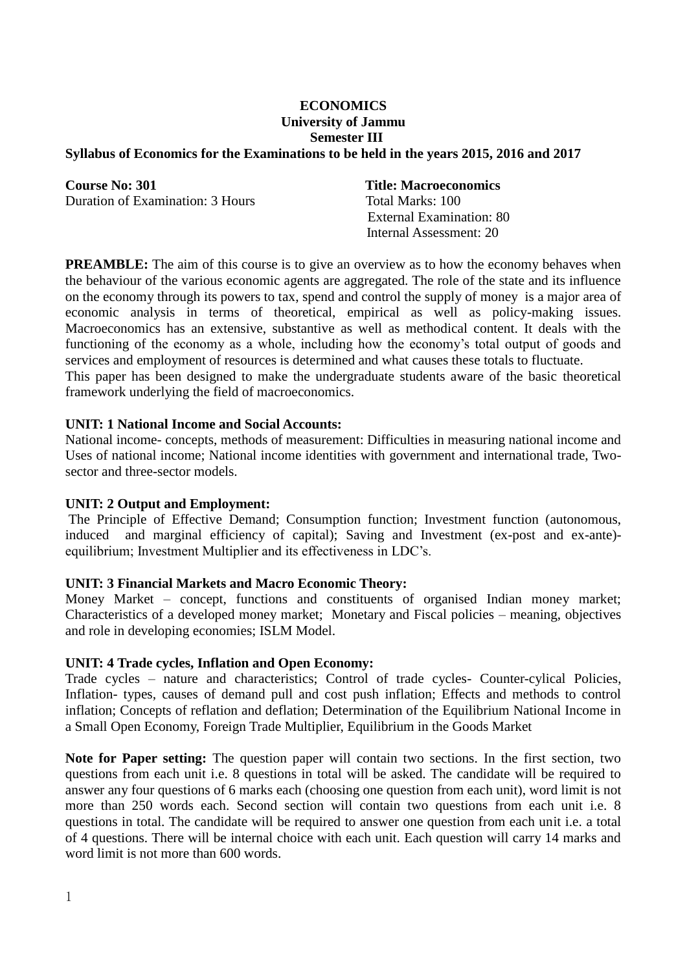# **ECONOMICS University of Jammu Semester III**

#### **Syllabus of Economics for the Examinations to be held in the years 2015, 2016 and 2017**

**Course No: 301 Title: Macroeconomics** Duration of Examination: 3 Hours Total Marks: 100

 External Examination: 80 Internal Assessment: 20

**PREAMBLE:** The aim of this course is to give an overview as to how the economy behaves when the behaviour of the various economic agents are aggregated. The role of the state and its influence on the economy through its powers to tax, spend and control the supply of money is a major area of economic analysis in terms of theoretical, empirical as well as policy-making issues. Macroeconomics has an extensive, substantive as well as methodical content. It deals with the functioning of the economy as a whole, including how the economy's total output of goods and services and employment of resources is determined and what causes these totals to fluctuate. This paper has been designed to make the undergraduate students aware of the basic theoretical framework underlying the field of macroeconomics.

#### **UNIT: 1 National Income and Social Accounts:**

National income- concepts, methods of measurement: Difficulties in measuring national income and Uses of national income; National income identities with government and international trade, Twosector and three-sector models.

#### **UNIT: 2 Output and Employment:**

The Principle of Effective Demand; Consumption function; Investment function (autonomous, induced and marginal efficiency of capital); Saving and Investment (ex-post and ex-ante) equilibrium; Investment Multiplier and its effectiveness in LDC's.

#### **UNIT: 3 Financial Markets and Macro Economic Theory:**

Money Market – concept, functions and constituents of organised Indian money market; Characteristics of a developed money market; Monetary and Fiscal policies – meaning, objectives and role in developing economies; ISLM Model.

#### **UNIT: 4 Trade cycles, Inflation and Open Economy:**

Trade cycles – nature and characteristics; Control of trade cycles- Counter-cylical Policies, Inflation- types, causes of demand pull and cost push inflation; Effects and methods to control inflation; Concepts of reflation and deflation; Determination of the Equilibrium National Income in a Small Open Economy, Foreign Trade Multiplier, Equilibrium in the Goods Market

**Note for Paper setting:** The question paper will contain two sections. In the first section, two questions from each unit i.e. 8 questions in total will be asked. The candidate will be required to answer any four questions of 6 marks each (choosing one question from each unit), word limit is not more than 250 words each. Second section will contain two questions from each unit i.e. 8 questions in total. The candidate will be required to answer one question from each unit i.e. a total of 4 questions. There will be internal choice with each unit. Each question will carry 14 marks and word limit is not more than 600 words.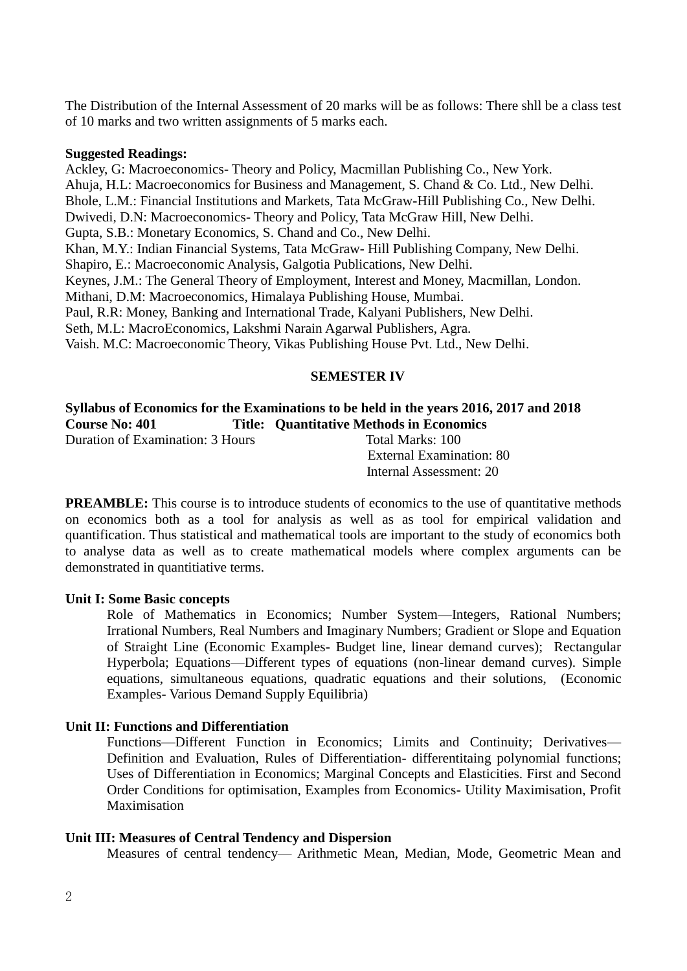The Distribution of the Internal Assessment of 20 marks will be as follows: There shll be a class test of 10 marks and two written assignments of 5 marks each.

#### **Suggested Readings:**

Ackley, G: Macroeconomics- Theory and Policy, Macmillan Publishing Co., New York. Ahuja, H.L: Macroeconomics for Business and Management, S. Chand & Co. Ltd., New Delhi. Bhole, L.M.: Financial Institutions and Markets, Tata McGraw-Hill Publishing Co., New Delhi. Dwivedi, D.N: Macroeconomics- Theory and Policy, Tata McGraw Hill, New Delhi. Gupta, S.B.: Monetary Economics, S. Chand and Co., New Delhi. Khan, M.Y.: Indian Financial Systems, Tata McGraw- Hill Publishing Company, New Delhi. Shapiro, E.: Macroeconomic Analysis, Galgotia Publications, New Delhi. Keynes, J.M.: The General Theory of Employment, Interest and Money, Macmillan, London. Mithani, D.M: Macroeconomics, Himalaya Publishing House, Mumbai. Paul, R.R: Money, Banking and International Trade, Kalyani Publishers, New Delhi. Seth, M.L: MacroEconomics, Lakshmi Narain Agarwal Publishers, Agra. Vaish. M.C: Macroeconomic Theory, Vikas Publishing House Pvt. Ltd., New Delhi.

## **SEMESTER IV**

## **Syllabus of Economics for the Examinations to be held in the years 2016, 2017 and 2018 Course No: 401 Title: Quantitative Methods in Economics**

Duration of Examination: 3 Hours Total Marks: 100

 External Examination: 80 Internal Assessment: 20

**PREAMBLE:** This course is to introduce students of economics to the use of quantitative methods on economics both as a tool for analysis as well as as tool for empirical validation and quantification. Thus statistical and mathematical tools are important to the study of economics both to analyse data as well as to create mathematical models where complex arguments can be demonstrated in quantitiative terms.

#### **Unit I: Some Basic concepts**

Role of Mathematics in Economics; Number System—Integers, Rational Numbers; Irrational Numbers, Real Numbers and Imaginary Numbers; Gradient or Slope and Equation of Straight Line (Economic Examples- Budget line, linear demand curves); Rectangular Hyperbola; Equations—Different types of equations (non-linear demand curves). Simple equations, simultaneous equations, quadratic equations and their solutions, (Economic Examples- Various Demand Supply Equilibria)

## **Unit II: Functions and Differentiation**

Functions—Different Function in Economics; Limits and Continuity; Derivatives— Definition and Evaluation, Rules of Differentiation- differentitaing polynomial functions; Uses of Differentiation in Economics; Marginal Concepts and Elasticities. First and Second Order Conditions for optimisation, Examples from Economics- Utility Maximisation, Profit Maximisation

#### **Unit III: Measures of Central Tendency and Dispersion**

Measures of central tendency— Arithmetic Mean, Median, Mode, Geometric Mean and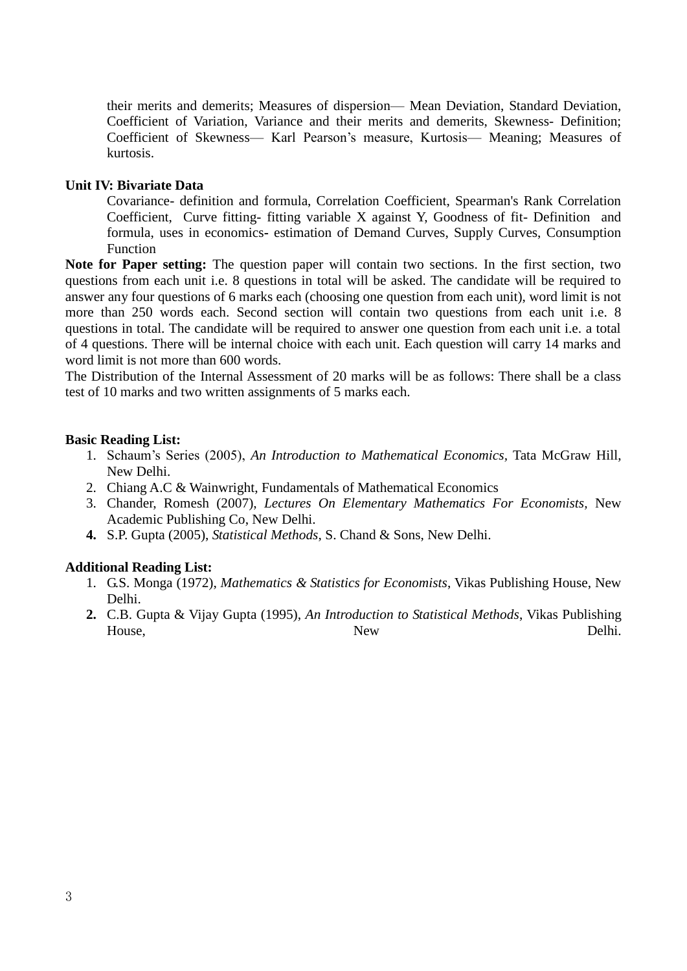their merits and demerits; Measures of dispersion— Mean Deviation, Standard Deviation, Coefficient of Variation, Variance and their merits and demerits, Skewness- Definition; Coefficient of Skewness— Karl Pearson's measure, Kurtosis— Meaning; Measures of kurtosis.

## **Unit IV: Bivariate Data**

Covariance- definition and formula, Correlation Coefficient, Spearman's Rank Correlation Coefficient, Curve fitting- fitting variable X against Y, Goodness of fit- Definition and formula, uses in economics**-** estimation of Demand Curves, Supply Curves, Consumption Function

**Note for Paper setting:** The question paper will contain two sections. In the first section, two questions from each unit i.e. 8 questions in total will be asked. The candidate will be required to answer any four questions of 6 marks each (choosing one question from each unit), word limit is not more than 250 words each. Second section will contain two questions from each unit i.e. 8 questions in total. The candidate will be required to answer one question from each unit i.e. a total of 4 questions. There will be internal choice with each unit. Each question will carry 14 marks and word limit is not more than 600 words.

The Distribution of the Internal Assessment of 20 marks will be as follows: There shall be a class test of 10 marks and two written assignments of 5 marks each.

#### **Basic Reading List:**

- 1. Schaum's Series (2005), *An Introduction to Mathematical Economics,* Tata McGraw Hill, New Delhi.
- 2. Chiang A.C & Wainwright, Fundamentals of Mathematical Economics
- 3. Chander, Romesh (2007), *Lectures On Elementary Mathematics For Economists,* New Academic Publishing Co, New Delhi.
- **4.** S.P. Gupta (2005), *Statistical Methods*, S. Chand & Sons, New Delhi.

#### **Additional Reading List:**

- 1. G.S. Monga (1972), *Mathematics & Statistics for Economists*, Vikas Publishing House, New Delhi.
- **2.** C.B. Gupta & Vijay Gupta (1995), *An Introduction to Statistical Methods*, Vikas Publishing House, Delhi.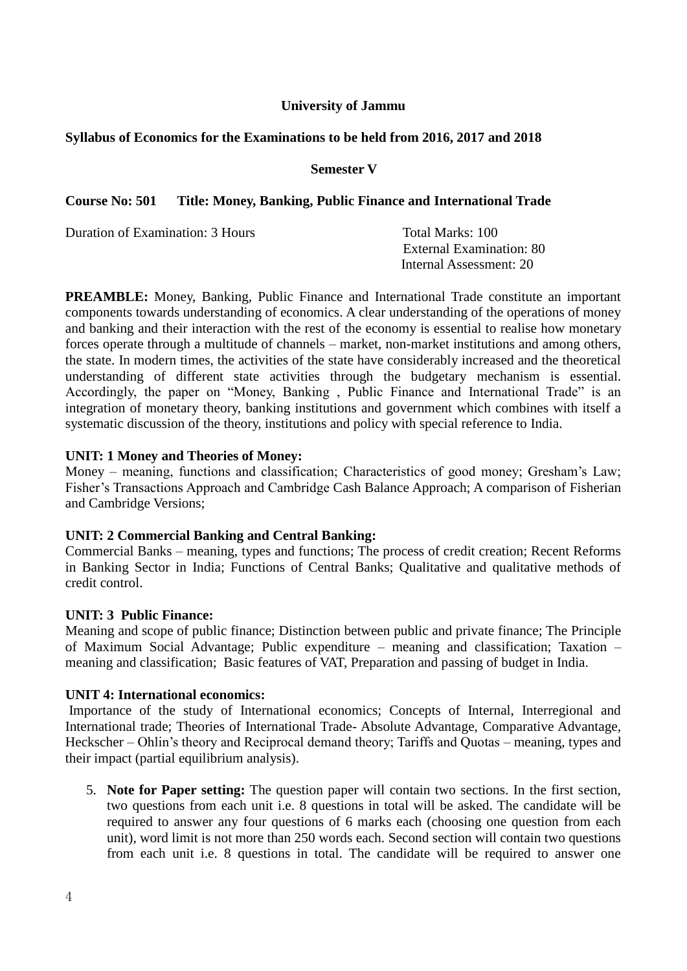## **University of Jammu**

### **Syllabus of Economics for the Examinations to be held from 2016, 2017 and 2018**

#### **Semester V**

## **Course No: 501 Title: Money, Banking, Public Finance and International Trade**

Duration of Examination: 3 Hours Total Marks: 100

 External Examination: 80 Internal Assessment: 20

**PREAMBLE:** Money, Banking, Public Finance and International Trade constitute an important components towards understanding of economics. A clear understanding of the operations of money and banking and their interaction with the rest of the economy is essential to realise how monetary forces operate through a multitude of channels – market, non-market institutions and among others, the state. In modern times, the activities of the state have considerably increased and the theoretical understanding of different state activities through the budgetary mechanism is essential. Accordingly, the paper on "Money, Banking , Public Finance and International Trade" is an integration of monetary theory, banking institutions and government which combines with itself a systematic discussion of the theory, institutions and policy with special reference to India.

#### **UNIT: 1 Money and Theories of Money:**

Money – meaning, functions and classification; Characteristics of good money; Gresham's Law; Fisher's Transactions Approach and Cambridge Cash Balance Approach; A comparison of Fisherian and Cambridge Versions;

## **UNIT: 2 Commercial Banking and Central Banking:**

Commercial Banks – meaning, types and functions; The process of credit creation; Recent Reforms in Banking Sector in India; Functions of Central Banks; Qualitative and qualitative methods of credit control.

#### **UNIT: 3 Public Finance:**

Meaning and scope of public finance; Distinction between public and private finance; The Principle of Maximum Social Advantage; Public expenditure – meaning and classification; Taxation – meaning and classification; Basic features of VAT, Preparation and passing of budget in India.

#### **UNIT 4: International economics:**

Importance of the study of International economics; Concepts of Internal, Interregional and International trade; Theories of International Trade- Absolute Advantage, Comparative Advantage, Heckscher – Ohlin's theory and Reciprocal demand theory; Tariffs and Quotas – meaning, types and their impact (partial equilibrium analysis).

5. **Note for Paper setting:** The question paper will contain two sections. In the first section, two questions from each unit i.e. 8 questions in total will be asked. The candidate will be required to answer any four questions of 6 marks each (choosing one question from each unit), word limit is not more than 250 words each. Second section will contain two questions from each unit i.e. 8 questions in total. The candidate will be required to answer one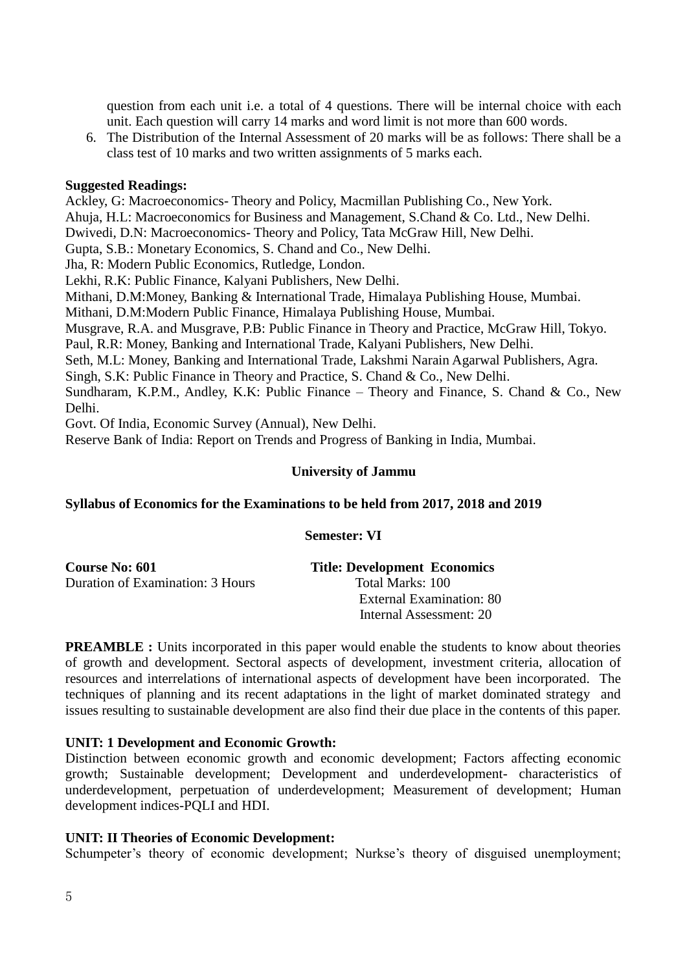question from each unit i.e. a total of 4 questions. There will be internal choice with each unit. Each question will carry 14 marks and word limit is not more than 600 words.

6. The Distribution of the Internal Assessment of 20 marks will be as follows: There shall be a class test of 10 marks and two written assignments of 5 marks each.

#### **Suggested Readings:**

Ackley, G: Macroeconomics- Theory and Policy, Macmillan Publishing Co., New York. Ahuja, H.L: Macroeconomics for Business and Management, S.Chand & Co. Ltd., New Delhi. Dwivedi, D.N: Macroeconomics- Theory and Policy, Tata McGraw Hill, New Delhi. Gupta, S.B.: Monetary Economics, S. Chand and Co., New Delhi. Jha, R: Modern Public Economics, Rutledge, London. Lekhi, R.K: Public Finance, Kalyani Publishers, New Delhi. Mithani, D.M:Money, Banking & International Trade, Himalaya Publishing House, Mumbai. Mithani, D.M:Modern Public Finance, Himalaya Publishing House, Mumbai. Musgrave, R.A. and Musgrave, P.B: Public Finance in Theory and Practice, McGraw Hill, Tokyo. Paul, R.R: Money, Banking and International Trade, Kalyani Publishers, New Delhi. Seth, M.L: Money, Banking and International Trade, Lakshmi Narain Agarwal Publishers, Agra. Singh, S.K: Public Finance in Theory and Practice, S. Chand & Co., New Delhi. Sundharam, K.P.M., Andley, K.K: Public Finance – Theory and Finance, S. Chand & Co., New Delhi.

Govt. Of India, Economic Survey (Annual), New Delhi.

Reserve Bank of India: Report on Trends and Progress of Banking in India, Mumbai.

## **University of Jammu**

#### **Syllabus of Economics for the Examinations to be held from 2017, 2018 and 2019**

#### **Semester: VI**

| <b>Course No: 601</b>            | <b>Title: Development Economics</b> |
|----------------------------------|-------------------------------------|
| Duration of Examination: 3 Hours | Total Marks: 100                    |
|                                  | External Examination: 80            |
|                                  | Internal Assessment: 20             |

**PREAMBLE :** Units incorporated in this paper would enable the students to know about theories of growth and development. Sectoral aspects of development, investment criteria, allocation of resources and interrelations of international aspects of development have been incorporated. The techniques of planning and its recent adaptations in the light of market dominated strategy and issues resulting to sustainable development are also find their due place in the contents of this paper.

## **UNIT: 1 Development and Economic Growth:**

Distinction between economic growth and economic development; Factors affecting economic growth; Sustainable development; Development and underdevelopment- characteristics of underdevelopment, perpetuation of underdevelopment; Measurement of development; Human development indices-PQLI and HDI.

#### **UNIT: II Theories of Economic Development:**

Schumpeter's theory of economic development; Nurkse's theory of disguised unemployment;